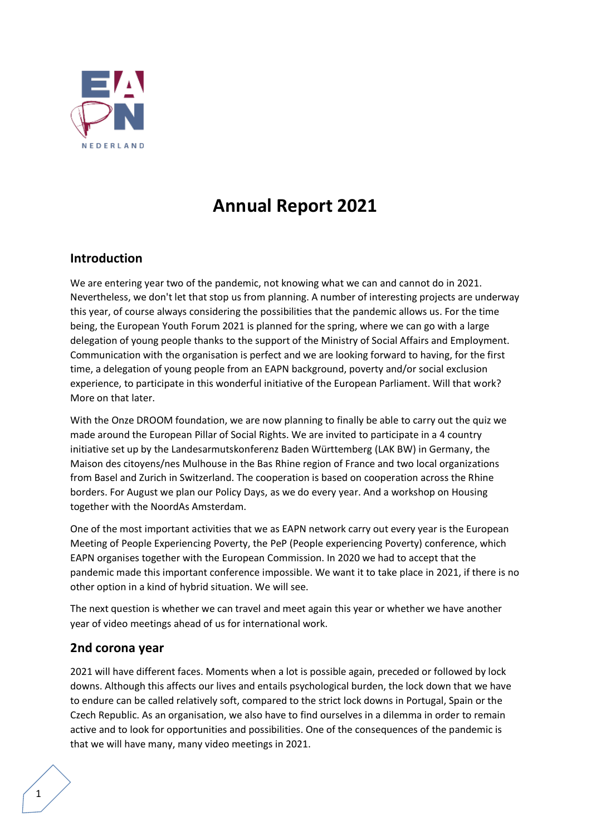

# **Annual Report 2021**

# **Introduction**

We are entering year two of the pandemic, not knowing what we can and cannot do in 2021. Nevertheless, we don't let that stop us from planning. A number of interesting projects are underway this year, of course always considering the possibilities that the pandemic allows us. For the time being, the European Youth Forum 2021 is planned for the spring, where we can go with a large delegation of young people thanks to the support of the Ministry of Social Affairs and Employment. Communication with the organisation is perfect and we are looking forward to having, for the first time, a delegation of young people from an EAPN background, poverty and/or social exclusion experience, to participate in this wonderful initiative of the European Parliament. Will that work? More on that later.

With the Onze DROOM foundation, we are now planning to finally be able to carry out the quiz we made around the European Pillar of Social Rights. We are invited to participate in a 4 country initiative set up by the Landesarmutskonferenz Baden Württemberg (LAK BW) in Germany, the Maison des citoyens/nes Mulhouse in the Bas Rhine region of France and two local organizations from Basel and Zurich in Switzerland. The cooperation is based on cooperation across the Rhine borders. For August we plan our Policy Days, as we do every year. And a workshop on Housing together with the NoordAs Amsterdam.

One of the most important activities that we as EAPN network carry out every year is the European Meeting of People Experiencing Poverty, the PeP (People experiencing Poverty) conference, which EAPN organises together with the European Commission. In 2020 we had to accept that the pandemic made this important conference impossible. We want it to take place in 2021, if there is no other option in a kind of hybrid situation. We will see.

The next question is whether we can travel and meet again this year or whether we have another year of video meetings ahead of us for international work.

### **2nd corona year**

2021 will have different faces. Moments when a lot is possible again, preceded or followed by lock downs. Although this affects our lives and entails psychological burden, the lock down that we have to endure can be called relatively soft, compared to the strict lock downs in Portugal, Spain or the Czech Republic. As an organisation, we also have to find ourselves in a dilemma in order to remain active and to look for opportunities and possibilities. One of the consequences of the pandemic is that we will have many, many video meetings in 2021.

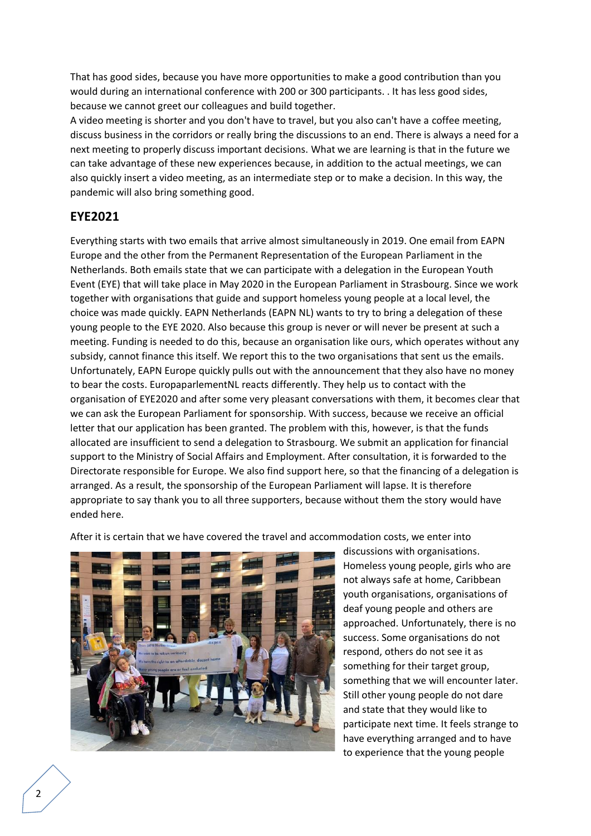That has good sides, because you have more opportunities to make a good contribution than you would during an international conference with 200 or 300 participants. . It has less good sides, because we cannot greet our colleagues and build together.

A video meeting is shorter and you don't have to travel, but you also can't have a coffee meeting, discuss business in the corridors or really bring the discussions to an end. There is always a need for a next meeting to properly discuss important decisions. What we are learning is that in the future we can take advantage of these new experiences because, in addition to the actual meetings, we can also quickly insert a video meeting, as an intermediate step or to make a decision. In this way, the pandemic will also bring something good.

### **EYE2021**

Everything starts with two emails that arrive almost simultaneously in 2019. One email from EAPN Europe and the other from the Permanent Representation of the European Parliament in the Netherlands. Both emails state that we can participate with a delegation in the European Youth Event (EYE) that will take place in May 2020 in the European Parliament in Strasbourg. Since we work together with organisations that guide and support homeless young people at a local level, the choice was made quickly. EAPN Netherlands (EAPN NL) wants to try to bring a delegation of these young people to the EYE 2020. Also because this group is never or will never be present at such a meeting. Funding is needed to do this, because an organisation like ours, which operates without any subsidy, cannot finance this itself. We report this to the two organisations that sent us the emails. Unfortunately, EAPN Europe quickly pulls out with the announcement that they also have no money to bear the costs. EuropaparlementNL reacts differently. They help us to contact with the organisation of EYE2020 and after some very pleasant conversations with them, it becomes clear that we can ask the European Parliament for sponsorship. With success, because we receive an official letter that our application has been granted. The problem with this, however, is that the funds allocated are insufficient to send a delegation to Strasbourg. We submit an application for financial support to the Ministry of Social Affairs and Employment. After consultation, it is forwarded to the Directorate responsible for Europe. We also find support here, so that the financing of a delegation is arranged. As a result, the sponsorship of the European Parliament will lapse. It is therefore appropriate to say thank you to all three supporters, because without them the story would have ended here.

After it is certain that we have covered the travel and accommodation costs, we enter into



discussions with organisations. Homeless young people, girls who are not always safe at home, Caribbean youth organisations, organisations of deaf young people and others are approached. Unfortunately, there is no success. Some organisations do not respond, others do not see it as something for their target group, something that we will encounter later. Still other young people do not dare and state that they would like to participate next time. It feels strange to have everything arranged and to have to experience that the young people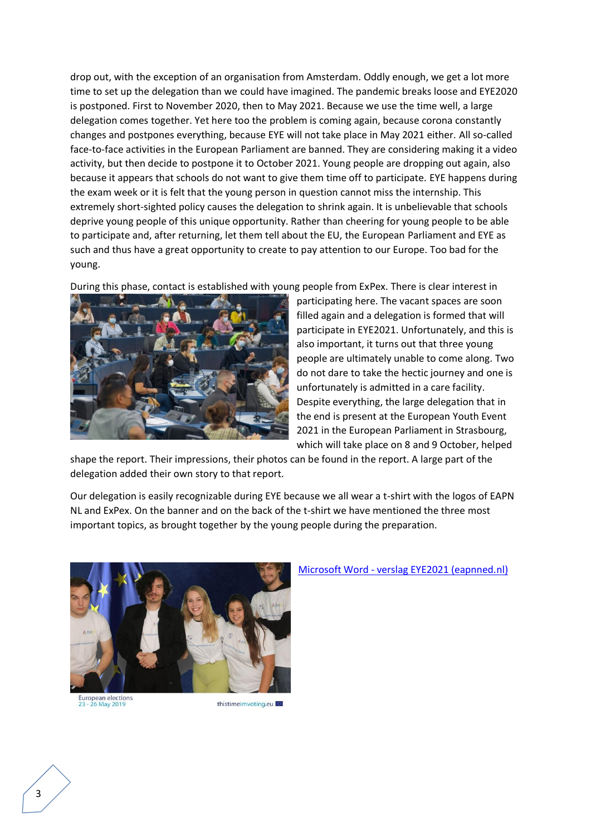drop out, with the exception of an organisation from Amsterdam. Oddly enough, we get a lot more time to set up the delegation than we could have imagined. The pandemic breaks loose and EYE2020 is postponed. First to November 2020, then to May 2021. Because we use the time well, a large delegation comes together. Yet here too the problem is coming again, because corona constantly changes and postpones everything, because EYE will not take place in May 2021 either. All so-called face-to-face activities in the European Parliament are banned. They are considering making it a video activity, but then decide to postpone it to October 2021. Young people are dropping out again, also because it appears that schools do not want to give them time off to participate. EYE happens during the exam week or it is felt that the young person in question cannot miss the internship. This extremely short-sighted policy causes the delegation to shrink again. It is unbelievable that schools deprive young people of this unique opportunity. Rather than cheering for young people to be able to participate and, after returning, let them tell about the EU, the European Parliament and EYE as such and thus have a great opportunity to create to pay attention to our Europe. Too bad for the young.

During this phase, contact is established with young people from ExPex. There is clear interest in



participating here. The vacant spaces are soon filled again and a delegation is formed that will participate in EYE2021. Unfortunately, and this is also important, it turns out that three young people are ultimately unable to come along. Two do not dare to take the hectic journey and one is unfortunately is admitted in a care facility. Despite everything, the large delegation that in the end is present at the European Youth Event 2021 in the European Parliament in Strasbourg, which will take place on 8 and 9 October, helped

shape the report. Their impressions, their photos can be found in the report. A large part of the delegation added their own story to that report.

Our delegation is easily recognizable during EYE because we all wear a t-shirt with the logos of EAPN NL and ExPex. On the banner and on the back of the t-shirt we have mentioned the three most important topics, as brought together by the young people during the preparation.



European elections<br>23 - 26 May 2019

thistimeimyoting.eu

#### Microsoft Word - [verslag EYE2021 \(eapnned.nl\)](http://eapnned.nl/assets/pdf/2021_verslag_european_youth_event_2021.pdf)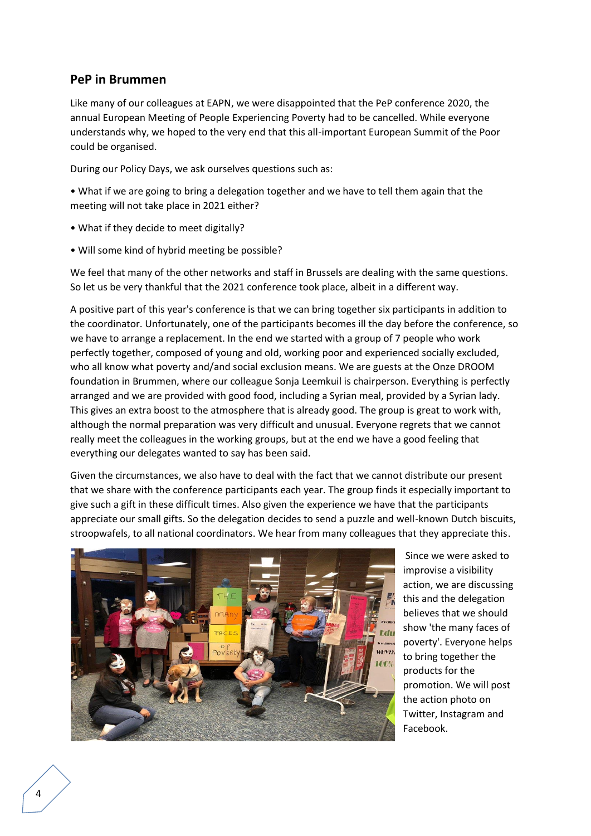# **PeP in Brummen**

Like many of our colleagues at EAPN, we were disappointed that the PeP conference 2020, the annual European Meeting of People Experiencing Poverty had to be cancelled. While everyone understands why, we hoped to the very end that this all-important European Summit of the Poor could be organised.

During our Policy Days, we ask ourselves questions such as:

• What if we are going to bring a delegation together and we have to tell them again that the meeting will not take place in 2021 either?

- What if they decide to meet digitally?
- Will some kind of hybrid meeting be possible?

We feel that many of the other networks and staff in Brussels are dealing with the same questions. So let us be very thankful that the 2021 conference took place, albeit in a different way.

A positive part of this year's conference is that we can bring together six participants in addition to the coordinator. Unfortunately, one of the participants becomes ill the day before the conference, so we have to arrange a replacement. In the end we started with a group of 7 people who work perfectly together, composed of young and old, working poor and experienced socially excluded, who all know what poverty and/and social exclusion means. We are guests at the Onze DROOM foundation in Brummen, where our colleague Sonja Leemkuil is chairperson. Everything is perfectly arranged and we are provided with good food, including a Syrian meal, provided by a Syrian lady. This gives an extra boost to the atmosphere that is already good. The group is great to work with, although the normal preparation was very difficult and unusual. Everyone regrets that we cannot really meet the colleagues in the working groups, but at the end we have a good feeling that everything our delegates wanted to say has been said.

Given the circumstances, we also have to deal with the fact that we cannot distribute our present that we share with the conference participants each year. The group finds it especially important to give such a gift in these difficult times. Also given the experience we have that the participants appreciate our small gifts. So the delegation decides to send a puzzle and well-known Dutch biscuits, stroopwafels, to all national coordinators. We hear from many colleagues that they appreciate this.



Since we were asked to improvise a visibility action, we are discussing this and the delegation believes that we should show 'the many faces of poverty'. Everyone helps to bring together the products for the promotion. We will post the action photo on Twitter, Instagram and Facebook.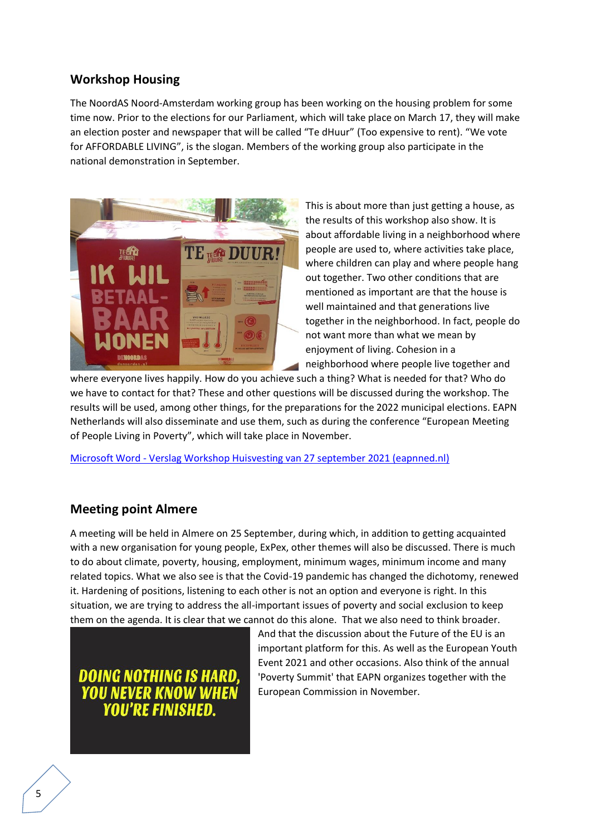# **Workshop Housing**

The NoordAS Noord-Amsterdam working group has been working on the housing problem for some time now. Prior to the elections for our Parliament, which will take place on March 17, they will make an election poster and newspaper that will be called "Te dHuur" (Too expensive to rent). "We vote for AFFORDABLE LIVING", is the slogan. Members of the working group also participate in the national demonstration in September.



This is about more than just getting a house, as the results of this workshop also show. It is about affordable living in a neighborhood where people are used to, where activities take place, where children can play and where people hang out together. Two other conditions that are mentioned as important are that the house is well maintained and that generations live together in the neighborhood. In fact, people do not want more than what we mean by enjoyment of living. Cohesion in a neighborhood where people live together and

where everyone lives happily. How do you achieve such a thing? What is needed for that? Who do we have to contact for that? These and other questions will be discussed during the workshop. The results will be used, among other things, for the preparations for the 2022 municipal elections. EAPN Netherlands will also disseminate and use them, such as during the conference "European Meeting of People Living in Poverty", which will take place in November.

Microsoft Word - [Verslag Workshop Huisvesting van 27 september 2021 \(eapnned.nl\)](http://eapnned.nl/assets/pdf/2021_verslag_workshop_huisvesting_wg_noordas_amsterdam.pdf)

# **Meeting point Almere**

A meeting will be held in Almere on 25 September, during which, in addition to getting acquainted with a new organisation for young people, ExPex, other themes will also be discussed. There is much to do about climate, poverty, housing, employment, minimum wages, minimum income and many related topics. What we also see is that the Covid-19 pandemic has changed the dichotomy, renewed it. Hardening of positions, listening to each other is not an option and everyone is right. In this situation, we are trying to address the all-important issues of poverty and social exclusion to keep them on the agenda. It is clear that we cannot do this alone. That we also need to think broader.

DOING NOTHING IS HARD **YOU NEVER KNOW WHEN** YOU'RE FINISHED.

And that the discussion about the Future of the EU is an important platform for this. As well as the European Youth Event 2021 and other occasions. Also think of the annual 'Poverty Summit' that EAPN organizes together with the European Commission in November.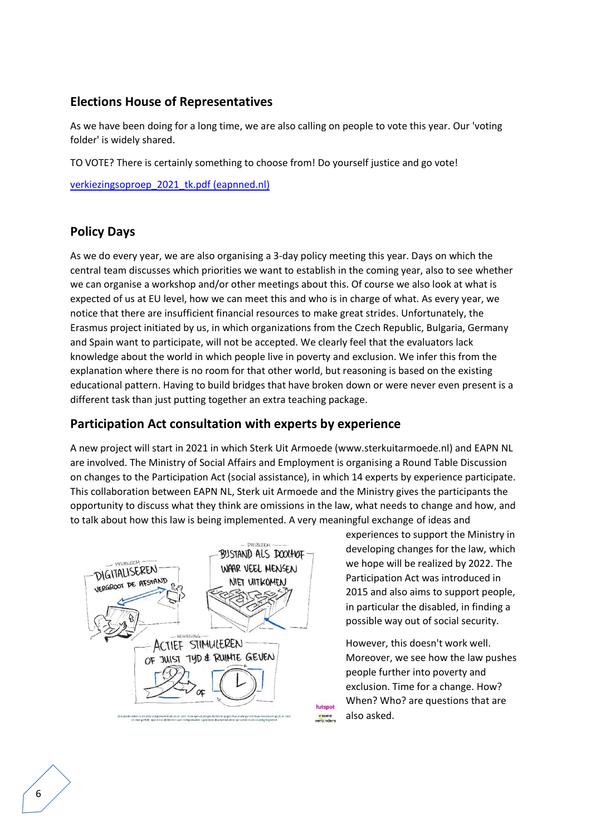# **Elections House of Representatives**

As we have been doing for a long time, we are also calling on people to vote this year. Our 'voting folder' is widely shared.

TO VOTE? There is certainly something to choose from! Do yourself justice and go vote!

[verkiezingsoproep\\_2021\\_tk.pdf \(eapnned.nl\)](http://eapnned.nl/assets/pdf/verkiezingsoproep_2021_tk.pdf)

# **Policy Days**

As we do every year, we are also organising a 3-day policy meeting this year. Days on which the central team discusses which priorities we want to establish in the coming year, also to see whether we can organise a workshop and/or other meetings about this. Of course we also look at what is expected of us at EU level, how we can meet this and who is in charge of what. As every year, we notice that there are insufficient financial resources to make great strides. Unfortunately, the Erasmus project initiated by us, in which organizations from the Czech Republic, Bulgaria, Germany and Spain want to participate, will not be accepted. We clearly feel that the evaluators lack knowledge about the world in which people live in poverty and exclusion. We infer this from the explanation where there is no room for that other world, but reasoning is based on the existing educational pattern. Having to build bridges that have broken down or were never even present is a different task than just putting together an extra teaching package.

# **Participation Act consultation with experts by experience**

A new project will start in 2021 in which Sterk Uit Armoede (www.sterkuitarmoede.nl) and EAPN NL are involved. The Ministry of Social Affairs and Employment is organising a Round Table Discussion on changes to the Participation Act (social assistance), in which 14 experts by experience participate. This collaboration between EAPN NL, Sterk uit Armoede and the Ministry gives the participants the opportunity to discuss what they think are omissions in the law, what needs to change and how, and to talk about how this law is being implemented. A very meaningful exchange of ideas and



experiences to support the Ministry in developing changes for the law, which we hope will be realized by 2022. The Participation Act was introduced in 2015 and also aims to support people, in particular the disabled, in finding a possible way out of social security.

However, this doesn't work well. Moreover, we see how the law pushes people further into poverty and exclusion. Time for a change. How? When? Who? are questions that are also asked.

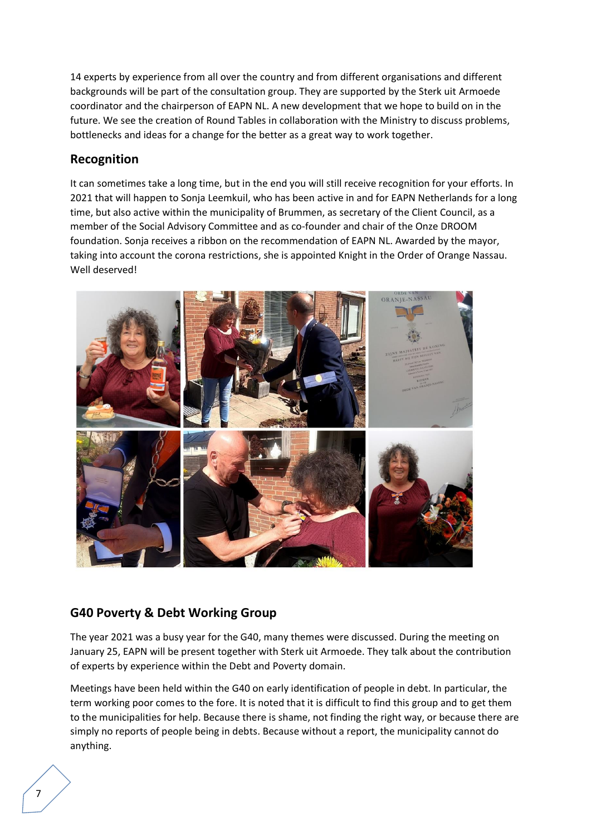14 experts by experience from all over the country and from different organisations and different backgrounds will be part of the consultation group. They are supported by the Sterk uit Armoede coordinator and the chairperson of EAPN NL. A new development that we hope to build on in the future. We see the creation of Round Tables in collaboration with the Ministry to discuss problems, bottlenecks and ideas for a change for the better as a great way to work together.

# **Recognition**

It can sometimes take a long time, but in the end you will still receive recognition for your efforts. In 2021 that will happen to Sonja Leemkuil, who has been active in and for EAPN Netherlands for a long time, but also active within the municipality of Brummen, as secretary of the Client Council, as a member of the Social Advisory Committee and as co-founder and chair of the Onze DROOM foundation. Sonja receives a ribbon on the recommendation of EAPN NL. Awarded by the mayor, taking into account the corona restrictions, she is appointed Knight in the Order of Orange Nassau. Well deserved!



# **G40 Poverty & Debt Working Group**

The year 2021 was a busy year for the G40, many themes were discussed. During the meeting on January 25, EAPN will be present together with Sterk uit Armoede. They talk about the contribution of experts by experience within the Debt and Poverty domain.

Meetings have been held within the G40 on early identification of people in debt. In particular, the term working poor comes to the fore. It is noted that it is difficult to find this group and to get them to the municipalities for help. Because there is shame, not finding the right way, or because there are simply no reports of people being in debts. Because without a report, the municipality cannot do anything.

7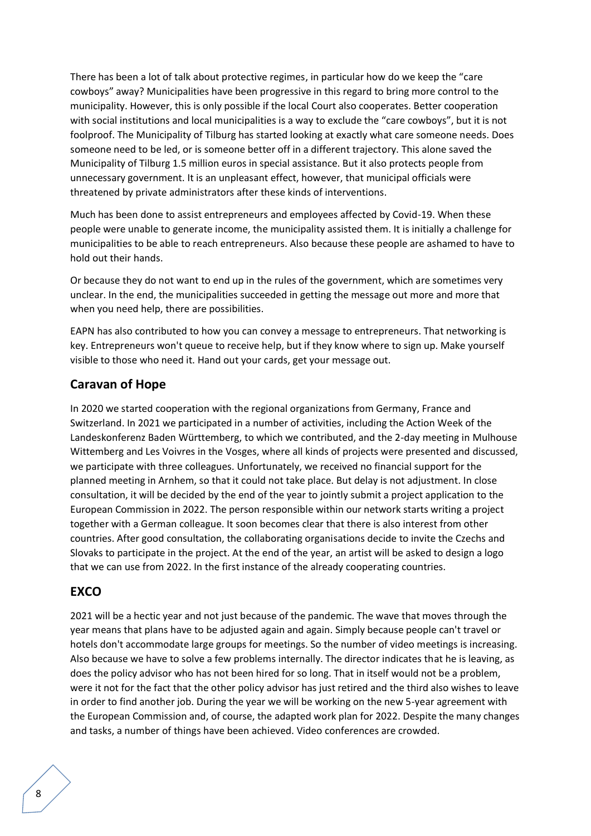There has been a lot of talk about protective regimes, in particular how do we keep the "care cowboys" away? Municipalities have been progressive in this regard to bring more control to the municipality. However, this is only possible if the local Court also cooperates. Better cooperation with social institutions and local municipalities is a way to exclude the "care cowboys", but it is not foolproof. The Municipality of Tilburg has started looking at exactly what care someone needs. Does someone need to be led, or is someone better off in a different trajectory. This alone saved the Municipality of Tilburg 1.5 million euros in special assistance. But it also protects people from unnecessary government. It is an unpleasant effect, however, that municipal officials were threatened by private administrators after these kinds of interventions.

Much has been done to assist entrepreneurs and employees affected by Covid-19. When these people were unable to generate income, the municipality assisted them. It is initially a challenge for municipalities to be able to reach entrepreneurs. Also because these people are ashamed to have to hold out their hands.

Or because they do not want to end up in the rules of the government, which are sometimes very unclear. In the end, the municipalities succeeded in getting the message out more and more that when you need help, there are possibilities.

EAPN has also contributed to how you can convey a message to entrepreneurs. That networking is key. Entrepreneurs won't queue to receive help, but if they know where to sign up. Make yourself visible to those who need it. Hand out your cards, get your message out.

# **Caravan of Hope**

In 2020 we started cooperation with the regional organizations from Germany, France and Switzerland. In 2021 we participated in a number of activities, including the Action Week of the Landeskonferenz Baden Württemberg, to which we contributed, and the 2-day meeting in Mulhouse Wittemberg and Les Voivres in the Vosges, where all kinds of projects were presented and discussed, we participate with three colleagues. Unfortunately, we received no financial support for the planned meeting in Arnhem, so that it could not take place. But delay is not adjustment. In close consultation, it will be decided by the end of the year to jointly submit a project application to the European Commission in 2022. The person responsible within our network starts writing a project together with a German colleague. It soon becomes clear that there is also interest from other countries. After good consultation, the collaborating organisations decide to invite the Czechs and Slovaks to participate in the project. At the end of the year, an artist will be asked to design a logo that we can use from 2022. In the first instance of the already cooperating countries.

# **EXCO**

2021 will be a hectic year and not just because of the pandemic. The wave that moves through the year means that plans have to be adjusted again and again. Simply because people can't travel or hotels don't accommodate large groups for meetings. So the number of video meetings is increasing. Also because we have to solve a few problems internally. The director indicates that he is leaving, as does the policy advisor who has not been hired for so long. That in itself would not be a problem, were it not for the fact that the other policy advisor has just retired and the third also wishes to leave in order to find another job. During the year we will be working on the new 5-year agreement with the European Commission and, of course, the adapted work plan for 2022. Despite the many changes and tasks, a number of things have been achieved. Video conferences are crowded.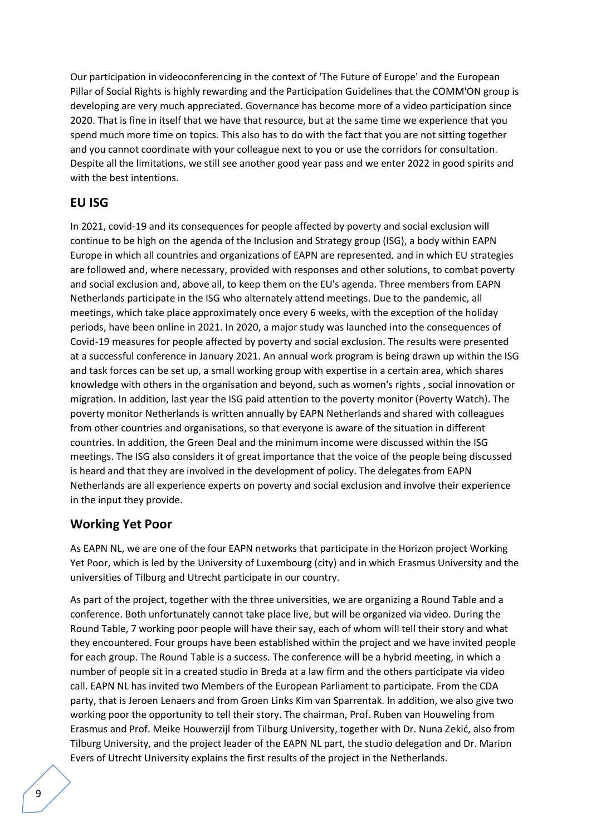Our participation in videoconferencing in the context of 'The Future of Europe' and the European Pillar of Social Rights is highly rewarding and the Participation Guidelines that the COMM'ON group is developing are very much appreciated. Governance has become more of a video participation since 2020. That is fine in itself that we have that resource, but at the same time we experience that you spend much more time on topics. This also has to do with the fact that you are not sitting together and you cannot coordinate with your colleague next to you or use the corridors for consultation. Despite all the limitations, we still see another good year pass and we enter 2022 in good spirits and with the best intentions.

### **EU ISG**

In 2021, covid-19 and its consequences for people affected by poverty and social exclusion will continue to be high on the agenda of the Inclusion and Strategy group (ISG), a body within EAPN Europe in which all countries and organizations of EAPN are represented. and in which EU strategies are followed and, where necessary, provided with responses and other solutions, to combat poverty and social exclusion and, above all, to keep them on the EU's agenda. Three members from EAPN Netherlands participate in the ISG who alternately attend meetings. Due to the pandemic, all meetings, which take place approximately once every 6 weeks, with the exception of the holiday periods, have been online in 2021. In 2020, a major study was launched into the consequences of Covid-19 measures for people affected by poverty and social exclusion. The results were presented at a successful conference in January 2021. An annual work program is being drawn up within the ISG and task forces can be set up, a small working group with expertise in a certain area, which shares knowledge with others in the organisation and beyond, such as women's rights , social innovation or migration. In addition, last year the ISG paid attention to the poverty monitor (Poverty Watch). The poverty monitor Netherlands is written annually by EAPN Netherlands and shared with colleagues from other countries and organisations, so that everyone is aware of the situation in different countries. In addition, the Green Deal and the minimum income were discussed within the ISG meetings. The ISG also considers it of great importance that the voice of the people being discussed is heard and that they are involved in the development of policy. The delegates from EAPN Netherlands are all experience experts on poverty and social exclusion and involve their experience in the input they provide.

### **Working Yet Poor**

As EAPN NL, we are one of the four EAPN networks that participate in the Horizon project Working Yet Poor, which is led by the University of Luxembourg (city) and in which Erasmus University and the universities of Tilburg and Utrecht participate in our country.

As part of the project, together with the three universities, we are organizing a Round Table and a conference. Both unfortunately cannot take place live, but will be organized via video. During the Round Table, 7 working poor people will have their say, each of whom will tell their story and what they encountered. Four groups have been established within the project and we have invited people for each group. The Round Table is a success. The conference will be a hybrid meeting, in which a number of people sit in a created studio in Breda at a law firm and the others participate via video call. EAPN NL has invited two Members of the European Parliament to participate. From the CDA party, that is Jeroen Lenaers and from Groen Links Kim van Sparrentak. In addition, we also give two working poor the opportunity to tell their story. The chairman, Prof. Ruben van Houweling from Erasmus and Prof. Meike Houwerzijl from Tilburg University, together with Dr. Nuna Zekić, also from Tilburg University, and the project leader of the EAPN NL part, the studio delegation and Dr. Marion Evers of Utrecht University explains the first results of the project in the Netherlands.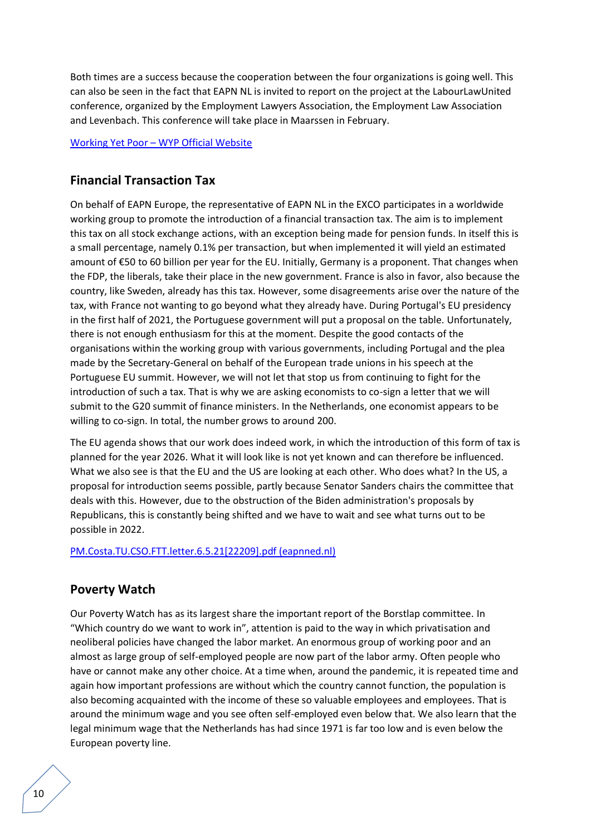Both times are a success because the cooperation between the four organizations is going well. This can also be seen in the fact that EAPN NL is invited to report on the project at the LabourLawUnited conference, organized by the Employment Lawyers Association, the Employment Law Association and Levenbach. This conference will take place in Maarssen in February.

#### Working Yet Poor – [WYP Official Website](https://workingyetpoor.eu/)

# **Financial Transaction Tax**

On behalf of EAPN Europe, the representative of EAPN NL in the EXCO participates in a worldwide working group to promote the introduction of a financial transaction tax. The aim is to implement this tax on all stock exchange actions, with an exception being made for pension funds. In itself this is a small percentage, namely 0.1% per transaction, but when implemented it will yield an estimated amount of €50 to 60 billion per year for the EU. Initially, Germany is a proponent. That changes when the FDP, the liberals, take their place in the new government. France is also in favor, also because the country, like Sweden, already has this tax. However, some disagreements arise over the nature of the tax, with France not wanting to go beyond what they already have. During Portugal's EU presidency in the first half of 2021, the Portuguese government will put a proposal on the table. Unfortunately, there is not enough enthusiasm for this at the moment. Despite the good contacts of the organisations within the working group with various governments, including Portugal and the plea made by the Secretary-General on behalf of the European trade unions in his speech at the Portuguese EU summit. However, we will not let that stop us from continuing to fight for the introduction of such a tax. That is why we are asking economists to co-sign a letter that we will submit to the G20 summit of finance ministers. In the Netherlands, one economist appears to be willing to co-sign. In total, the number grows to around 200.

The EU agenda shows that our work does indeed work, in which the introduction of this form of tax is planned for the year 2026. What it will look like is not yet known and can therefore be influenced. What we also see is that the EU and the US are looking at each other. Who does what? In the US, a proposal for introduction seems possible, partly because Senator Sanders chairs the committee that deals with this. However, due to the obstruction of the Biden administration's proposals by Republicans, this is constantly being shifted and we have to wait and see what turns out to be possible in 2022.

#### [PM.Costa.TU.CSO.FTT.letter.6.5.21\[22209\].pdf \(eapnned.nl\)](http://eapnned.nl/assets/pdf/2021_letter_to_porto_summit.pdf)

# **Poverty Watch**

Our Poverty Watch has as its largest share the important report of the Borstlap committee. In "Which country do we want to work in", attention is paid to the way in which privatisation and neoliberal policies have changed the labor market. An enormous group of working poor and an almost as large group of self-employed people are now part of the labor army. Often people who have or cannot make any other choice. At a time when, around the pandemic, it is repeated time and again how important professions are without which the country cannot function, the population is also becoming acquainted with the income of these so valuable employees and employees. That is around the minimum wage and you see often self-employed even below that. We also learn that the legal minimum wage that the Netherlands has had since 1971 is far too low and is even below the European poverty line.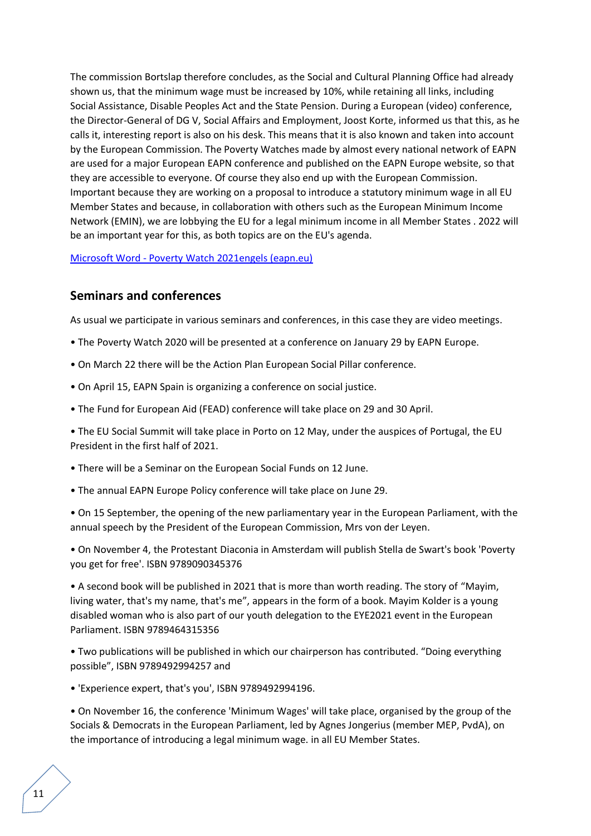The commission Bortslap therefore concludes, as the Social and Cultural Planning Office had already shown us, that the minimum wage must be increased by 10%, while retaining all links, including Social Assistance, Disable Peoples Act and the State Pension. During a European (video) conference, the Director-General of DG V, Social Affairs and Employment, Joost Korte, informed us that this, as he calls it, interesting report is also on his desk. This means that it is also known and taken into account by the European Commission. The Poverty Watches made by almost every national network of EAPN are used for a major European EAPN conference and published on the EAPN Europe website, so that they are accessible to everyone. Of course they also end up with the European Commission. Important because they are working on a proposal to introduce a statutory minimum wage in all EU Member States and because, in collaboration with others such as the European Minimum Income Network (EMIN), we are lobbying the EU for a legal minimum income in all Member States . 2022 will be an important year for this, as both topics are on the EU's agenda.

#### Microsoft Word - [Poverty Watch 2021engels \(eapn.eu\)](https://www.eapn.eu/wp-content/uploads/2022/03/eapn-Poverty-Watch-2021-Engels-5385.pdf)

# **Seminars and conferences**

As usual we participate in various seminars and conferences, in this case they are video meetings.

- The Poverty Watch 2020 will be presented at a conference on January 29 by EAPN Europe.
- On March 22 there will be the Action Plan European Social Pillar conference.
- On April 15, EAPN Spain is organizing a conference on social justice.
- The Fund for European Aid (FEAD) conference will take place on 29 and 30 April.

• The EU Social Summit will take place in Porto on 12 May, under the auspices of Portugal, the EU President in the first half of 2021.

- There will be a Seminar on the European Social Funds on 12 June.
- The annual EAPN Europe Policy conference will take place on June 29.

• On 15 September, the opening of the new parliamentary year in the European Parliament, with the annual speech by the President of the European Commission, Mrs von der Leyen.

• On November 4, the Protestant Diaconia in Amsterdam will publish Stella de Swart's book 'Poverty you get for free'. ISBN 9789090345376

• A second book will be published in 2021 that is more than worth reading. The story of "Mayim, living water, that's my name, that's me", appears in the form of a book. Mayim Kolder is a young disabled woman who is also part of our youth delegation to the EYE2021 event in the European Parliament. ISBN 9789464315356

• Two publications will be published in which our chairperson has contributed. "Doing everything possible", ISBN 9789492994257 and

• 'Experience expert, that's you', ISBN 9789492994196.

• On November 16, the conference 'Minimum Wages' will take place, organised by the group of the Socials & Democrats in the European Parliament, led by Agnes Jongerius (member MEP, PvdA), on the importance of introducing a legal minimum wage. in all EU Member States.

11